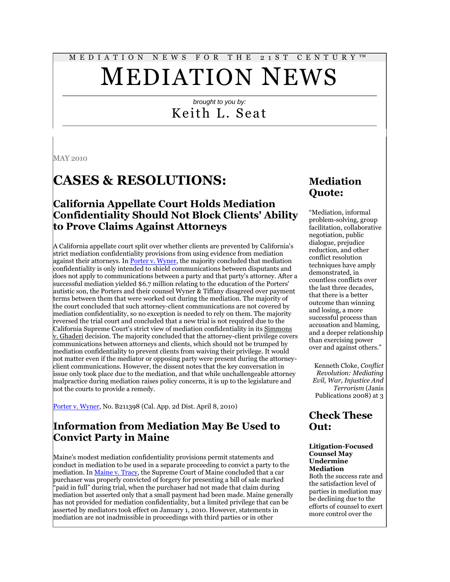# M E D I A T I O N N E W S F O R T H E 2 1 S T C E N T U R Y ™ MEDIATION NEWS

#### *brought to you by:* Keith L. Seat

MAY 2010

## **CASES & RESOLUTIONS:**

#### **California Appellate Court Holds Mediation Confidentiality Should Not Block Clients' Ability to Prove Claims Against Attorneys**

A California appellate court split over whether clients are prevented by California's strict mediation confidentiality provisions from using evidence from mediation against their attorneys. In **Porter v. Wyner**, the majority concluded that mediation confidentiality is only intended to shield communications between disputants and does not apply to communications between a party and that party's attorney. After a successful mediation yielded \$6.7 million relating to the education of the Porters' autistic son, the Porters and their counsel Wyner & Tiffany disagreed over payment terms between them that were worked out during the mediation. The majority of the court concluded that such attorney-client communications are not covered by mediation confidentiality, so no exception is needed to rely on them. The majority reversed the trial court and concluded that a new trial is not required due to the California Supreme Court's strict view of mediation confidentiality in its Simmons v. Ghaderi decision. The majority concluded that the attorney-client privilege covers communications between attorneys and clients, which should not be trumped by mediation confidentiality to prevent clients from waiving their privilege. It would not matter even if the mediator or opposing party were present during the attorneyclient communications. However, the dissent notes that the key conversation in issue only took place due to the mediation, and that while unchallengeable attorney malpractice during mediation raises policy concerns, it is up to the legislature and not the courts to provide a remedy.

[Porter v. Wyner,](http://www.courtinfo.ca.gov/opinions/documents/B211398.PDF) No. B211398 (Cal. App. 2d Dist. April 8, 2010)

#### **Information from Mediation May Be Used to Convict Party in Maine**

Maine's modest mediation confidentiality provisions permit statements and conduct in mediation to be used in a separate proceeding to convict a party to the mediation. I[n Maine v. Tracy,](http://tinyurl.com/23fh2kl) the Supreme Court of Maine concluded that a car purchaser was properly convicted of forgery for presenting a bill of sale marked "paid in full" during trial, when the purchaser had not made that claim during mediation but asserted only that a small payment had been made. Maine generally has not provided for mediation confidentiality, but a limited privilege that can be asserted by mediators took effect on January 1, 2010. However, statements in mediation are not inadmissible in proceedings with third parties or in other

#### **Mediation Quote:**

"Mediation, informal problem-solving, group facilitation, collaborative negotiation, public dialogue, prejudice reduction, and other conflict resolution techniques have amply demonstrated, in countless conflicts over the last three decades, that there is a better outcome than winning and losing, a more successful process than accusation and blaming, and a deeper relationship than exercising power over and against others."

Kenneth Cloke, *Conflict Revolution: Mediating Evil, War, Injustice And Terrorism* (Janis Publications 2008) at 3

#### **Check These Out:**

#### **Litigation-Focused Counsel May Undermine Mediation**

Both the success rate and the satisfaction level of parties in mediation may be declining due to the efforts of counsel to exert more control over the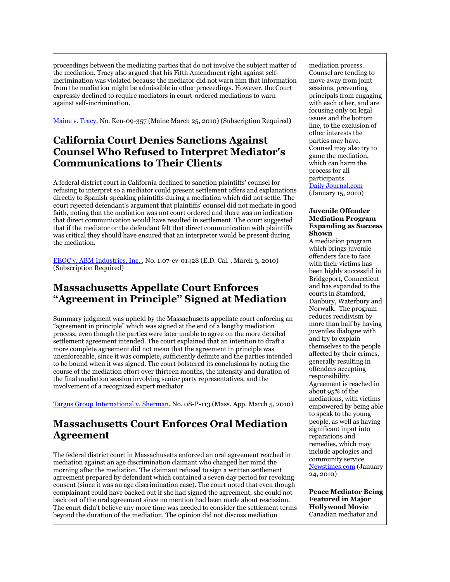proceedings between the mediating parties that do not involve the subject matter of the mediation. Tracy also argued that his Fifth Amendment right against selfincrimination was violated because the mediator did not warn him that information from the mediation might be admissible in other proceedings. However, the Court expressly declined to require mediators in court-ordered mediations to warn against self-incrimination.

[Maine v. Tracy,](http://tinyurl.com/23fh2kl) No. Ken-09-357 (Maine March 25, 2010) (Subscription Required)

#### **California Court Denies Sanctions Against Counsel Who Refused to Interpret Mediator's Communications to Their Clients**

A federal district court in California declined to sanction plaintiffs' counsel for refusing to interpret so a mediator could present settlement offers and explanations directly to Spanish-speaking plaintiffs during a mediation which did not settle. The court rejected defendant's argument that plaintiffs' counsel did not mediate in good faith, noting that the mediation was not court ordered and there was no indication that direct communication would have resulted in settlement. The court suggested that if the mediator or the defendant felt that direct communication with plaintiffs was critical they should have ensured that an interpreter would be present during the mediation.

EEOC v. ABM Industries, Inc., No. 1:07-cv-01428 (E.D. Cal., March 3, 2010) (Subscription Required)

#### **Massachusetts Appellate Court Enforces "Agreement in Principle" Signed at Mediation**

Summary judgment was upheld by the Massachusetts appellate court enforcing an "agreement in principle" which was signed at the end of a lengthy mediation process, even though the parties were later unable to agree on the more detailed settlement agreement intended. The court explained that an intention to draft a more complete agreement did not mean that the agreement in principle was unenforceable, since it was complete, sufficiently definite and the parties intended to be bound when it was signed. The court bolstered its conclusions by noting the course of the mediation effort over thirteen months, the intensity and duration of the final mediation session involving senior party representatives, and the involvement of a recognized expert mediator.

[Targus Group International v. Sherman,](http://tinyurl.com/y245pbv) No. 08-P-113 (Mass. App. March 5, 2010)

#### **Massachusetts Court Enforces Oral Mediation Agreement**

The federal district court in Massachusetts enforced an oral agreement reached in mediation against an age discrimination claimant who changed her mind the morning after the mediation. The claimant refused to sign a written settlement agreement prepared by defendant which contained a seven day period for revoking consent (since it was an age discrimination case). The court noted that even though complainant could have backed out if she had signed the agreement, she could not back out of the oral agreement since no mention had been made about rescission. The court didn't believe any more time was needed to consider the settlement terms beyond the duration of the mediation. The opinion did not discuss mediation

mediation process. Counsel are tending to move away from joint sessions, preventing principals from engaging with each other, and are focusing only on legal issues and the bottom line, to the exclusion of other interests the parties may have. Counsel may also try to game the mediation, which can harm the process for all participants. [Daily Journal.com](http://adjmediator.wordpress.com/2010/02/19/who-took-the-me-out-of-mediation/)

(January 15, 2010)

#### **Juvenile Offender Mediation Program Expanding as Success Shown**

A mediation program which brings juvenile offenders face to face with their victims has been highly successful in Bridgeport, Connecticut and has expanded to the courts in Stamford, Danbury, Waterbury and Norwalk. The program reduces recidivism by more than half by having juveniles dialogue with and try to explain themselves to the people affected by their crimes, generally resulting in offenders accepting responsibility. Agreement is reached in about 95% of the mediations, with victims empowered by being able to speak to the young people, as well as having significant input into reparations and remedies, which may include apologies and community service. [Newstimes.com](http://www.newstimes.com/local/article/Study-Juvenile-mediation-cuts-repeat-offenses-335216.php) (January  $24, 2010)$ 

**Peace Mediator Being Featured in Major Hollywood Movie** Canadian mediator and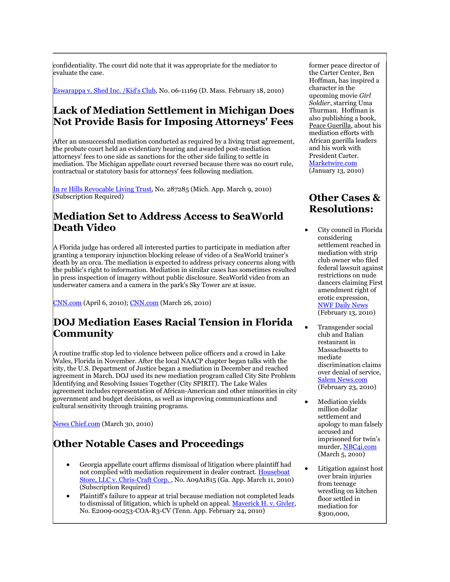confidentiality. The court did note that it was appropriate for the mediator to evaluate the case.

[Eswarappa v. Shed Inc. /Kid's Club,](http://tinyurl.com/y63ut82) No. 06-11169 (D. Mass. February 18, 2010)

#### **Lack of Mediation Settlement in Michigan Does Not Provide Basis for Imposing Attorneys' Fees**

After an unsuccessful mediation conducted as required by a living trust agreement, the probate court held an evidentiary hearing and awarded post-mediation attorneys' fees to one side as sanctions for the other side failing to settle in mediation. The Michigan appellate court reversed because there was no court rule, contractual or statutory basis for attorneys' fees following mediation.

[In re Hills Revocable Living Trust,](http://tinyurl.com/2fw8l7b) No. 287285 (Mich. App. March 9, 2010) (Subscription Required)

#### **Mediation Set to Address Access to SeaWorld Death Video**

A Florida judge has ordered all interested parties to participate in mediation after granting a temporary injunction blocking release of video of a SeaWorld trainer's death by an orca. The mediation is expected to address privacy concerns along with the public's right to information. Mediation in similar cases has sometimes resulted in press inspection of imagery without public disclosure. SeaWorld video from an underwater camera and a camera in the park's Sky Tower are at issue.

[CNN.com](http://www.cnn.com/2010/CRIME/04/06/crime.scene.photos.privacy/?hpt=Sbin) (April 6, 2010); [CNN.com](http://www.cnn.com/2010/US/03/26/florida.seaworld.death/) (March 26, 2010)

#### **DOJ Mediation Eases Racial Tension in Florida Community**

A routine traffic stop led to violence between police officers and a crowd in Lake Wales, Florida in November. After the local NAACP chapter began talks with the city, the U.S. Department of Justice began a mediation in December and reached agreement in March. DOJ used its new mediation program called City Site Problem Identifying and Resolving Issues Together (City SPIRIT). The Lake Wales agreement includes representation of African-American and other minorities in city government and budget decisions, as well as improving communications and cultural sensitivity through training programs.

[News Chief.com](http://tinyurl.com/27w8mdc) (March 30, 2010)

### **Other Notable Cases and Proceedings**

- Georgia appellate court affirms dismissal of litigation where plaintiff had not complied with mediation requirement in dealer contract[. Houseboat](http://tinyurl.com/yypwr6j)  [Store, LLC v. Chris-Craft Corp. ,](http://tinyurl.com/yypwr6j) No. A09A1815 (Ga. App. March 11, 2010) (Subscription Required)
- Plaintiff's failure to appear at trial because mediation not completed leads to dismissal of litigation, which is upheld on appeal. [Maverick H. v. Givler,](http://www.leagle.com/unsecure/page.htm?shortname=intnco20100224610)  No. E2009-00253-COA-R3-CV (Tenn. App. February 24, 2010)

former peace director of the Carter Center, Ben Hoffman, has inspired a character in the upcoming movie *Girl Soldier*, starring Uma Thurman. Hoffman is also publishing a book, Peace Guerilla, about his mediation efforts with African guerilla leaders and his work with President Carter. [Marketwire.com](http://tinyurl.com/yeh94p3) (January 13, 2010)

#### **Other Cases & Resolutions:**

- City council in Florida considering settlement reached in mediation with strip club owner who filed federal lawsuit against restrictions on nude dancers claiming First amendment right of erotic expression, [NWF Daily News](http://www.nwfdailynews.com/news/destin-25773-dining-agenda.html) (February 13, 2010)
- Transgender social club and Italian restaurant in Massachusetts to mediate discrimination claims over denial of service, [Salem News.com](http://www.salemnews.com/punews/local_story_053222935.html) (February 23, 2010)
- Mediation yields million dollar settlement and apology to man falsely accused and imprisoned for twin's murder[, NBC4i.com](http://tinyurl.com/yc8alva) (March 5, 2010)
- Litigation against host over brain injuries from teenage wrestling on kitchen floor settled in mediation for \$300,000,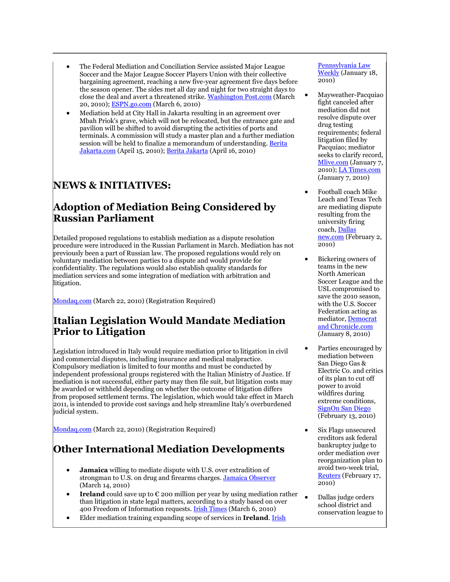- The Federal Mediation and Conciliation Service assisted Major League Soccer and the Major League Soccer Players Union with their collective bargaining agreement, reaching a new five-year agreement five days before the season opener. The sides met all day and night for two straight days to close the deal and avert a threatened strike[. Washington Post.com](http://tinyurl.com/yb5jfqu) (March 20, 2010); [ESPN.go.com](http://tinyurl.com/yar5nyx) (March 6, 2010)
- Mediation held at City Hall in Jakarta resulting in an agreement over Mbah Priok's grave, which will not be relocated, but the entrance gate and pavilion will be shifted to avoid disrupting the activities of ports and terminals. A commission will study a master plan and a further mediation session will be held to finalize a memorandum of understanding. [Berita](http://www.beritajakarta.com/2008/en/newsview.aspx?idwil=0&id=14573)  [Jakarta.com](http://www.beritajakarta.com/2008/en/newsview.aspx?idwil=0&id=14573) (April 15, 2010); [Berita Jakarta](http://www.beritajakarta.com/2008/en/newsview.aspx?idwil=0&id=14587) (April 16, 2010)

#### **NEWS & INITIATIVES:**

#### **Adoption of Mediation Being Considered by Russian Parliament**

Detailed proposed regulations to establish mediation as a dispute resolution procedure were introduced in the Russian Parliament in March. Mediation has not previously been a part of Russian law. The proposed regulations would rely on voluntary mediation between parties to a dispute and would provide for confidentiality. The regulations would also establish quality standards for mediation services and some integration of mediation with arbitration and litigation.

[Mondaq.com](http://www.mondaq.com/article.asp?articleid=96386) (March 22, 2010) (Registration Required)

#### **Italian Legislation Would Mandate Mediation Prior to Litigation**

Legislation introduced in Italy would require mediation prior to litigation in civil and commercial disputes, including insurance and medical malpractice. Compulsory mediation is limited to four months and must be conducted by independent professional groups registered with the Italian Ministry of Justice. If mediation is not successful, either party may then file suit, but litigation costs may be awarded or withheld depending on whether the outcome of litigation differs from proposed settlement terms. The legislation, which would take effect in March 2011, is intended to provide cost savings and help streamline Italy's overburdened judicial system.

[Mondaq.com](http://www.mondaq.com/article.asp?articleid=96338) (March 22, 2010) (Registration Required)

### **Other International Mediation Developments**

- **Jamaica** willing to mediate dispute with U.S. over extradition of strongman to U.S. on drug and firearms charges. [Jamaica Observer](http://www.jamaicaobserver.com/news/Dudus-dispute-headed-to-UN) (March 14, 2010)
- **Ireland** could save up to  $\epsilon$  200 million per year by using mediation rather than litigation in state legal matters, according to a study based on over 400 Freedom of Information requests[. Irish Times](http://www.irishtimes.com/newspaper/ireland/2010/0306/1224265706847.html) (March 6, 2010)
- Elder mediation training expanding scope of services in **Ireland**. [Irish](http://www.irishtimes.com/newspaper/health/2010/0323/1224266869958.html)

#### [Pennsylvania Law](http://tinyurl.com/yjreco8)  [Weekly](http://tinyurl.com/yjreco8) (January 18, 2010)

- Mayweather-Pacquiao fight canceled after mediation did not resolve dispute over drug testing requirements; federal litigation filed by Pacquiao; mediator seeks to clarify record, [Mlive.com](http://www.mlive.com/mayweather/index.ssf/2010/01/mayweather-pacquiao_fight_call.html) (January 7, 2010); [LA Times.com](http://tinyurl.com/yd7usvc) (January 7, 2010)
- Football coach Mike Leach and Texas Tech are mediating dispute resulting from the university firing coach, [Dallas](http://tinyurl.com/y8evw6y)  [new.com](http://tinyurl.com/y8evw6y) (February 2, 2010)
- Bickering owners of teams in the new North American Soccer League and the USL compromised to save the 2010 season, with the U.S. Soccer Federation acting as mediator[, Democrat](http://www.democratandchronicle.com/article/20100108/SPORTS05/1080332/1007/SPORTS)  [and Chronicle.com](http://www.democratandchronicle.com/article/20100108/SPORTS05/1080332/1007/SPORTS) (January 8, 2010)
- Parties encouraged by mediation between San Diego Gas & Electric Co. and critics of its plan to cut off power to avoid wildfires during extreme conditions, [SignOn San Diego](http://tinyurl.com/ye9543p) (February 13, 2010)
- Six Flags unsecured creditors ask federal bankruptcy judge to order mediation over reorganization plan to avoid two-week trial, [Reuters](http://www.reuters.com/article/idUSTRE61G3AS20100217) (February 17, 2010)
- Dallas judge orders school district and conservation league to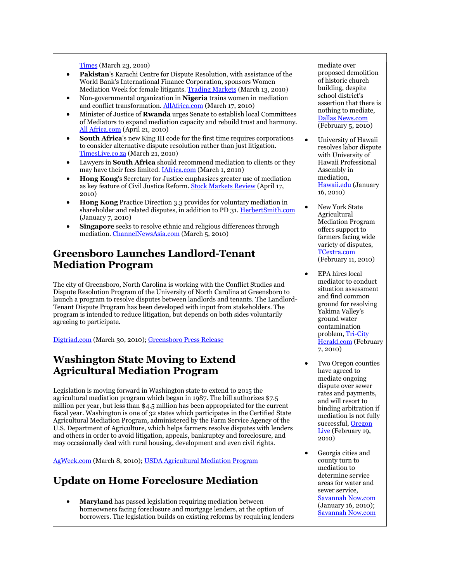Times (March 23, 2010)

- **Pakistan**'s Karachi Centre for Dispute Resolution, with assistance of the World Bank's International Finance Corporation, sponsors Women Mediation Week for female litigants[. Trading Markets](http://tinyurl.com/y3er38n) (March 13, 2010)
- Non-governmental organization in **Nigeria** trains women in mediation and conflict transformation. [AllAfrica.com](http://allafrica.com/stories/201003170490.html) (March 17, 2010)
- Minister of Justice of **Rwanda** urges Senate to establish local Committees of Mediators to expand mediation capacity and rebuild trust and harmony. [All Africa.com](http://allafrica.com/stories/201004210195.html) (April 21, 2010)
- **South Africa**'s new King III code for the first time requires corporations to consider alternative dispute resolution rather than just litigation. [TimesLive.co.za](http://www.timeslive.co.za/business/careers/article363723.ece) (March 21, 2010)
- Lawyers in **South Africa** should recommend mediation to clients or they may have their fees limited. *IAfrica.com* (March 1, 2010)
- **Hong Kong**'s Secretary for Justice emphasizes greater use of mediation as key feature of Civil Justice Reform. [Stock Markets Review](http://tinyurl.com/2vqko63) (April 17, 2010)
- **Hong Kong** Practice Direction 3.3 provides for voluntary mediation in shareholder and related disputes, in addition to PD 31. [HerbertSmith.com](http://tinyurl.com/yklnkdp) (January 7, 2010)
- **Singapore** seeks to resolve ethnic and religious differences through mediation[. ChannelNewsAsia.com](http://tinyurl.com/y2q7gut) (March 5, 2010)

#### **Greensboro Launches Landlord-Tenant Mediation Program**

The city of Greensboro, North Carolina is working with the Conflict Studies and Dispute Resolution Program of the University of North Carolina at Greensboro to launch a program to resolve disputes between landlords and tenants. The Landlord-Tenant Dispute Program has been developed with input from stakeholders. The program is intended to reduce litigation, but depends on both sides voluntarily agreeing to participate.

[Digtriad.com](http://www.digtriad.com/news/local/story.aspx?storyid=139740&catid=57) (March 30, 2010); [Greensboro Press Release](http://www.greensboro-nc.gov/pressreleases/disputeprogram-032410.htm)

#### **Washington State Moving to Extend Agricultural Mediation Program**

Legislation is moving forward in Washington state to extend to 2015 the agricultural mediation program which began in 1987. The bill authorizes \$7.5 million per year, but less than \$4.5 million has been appropriated for the current fiscal year. Washington is one of 32 states which participates in the Certified State Agricultural Mediation Program, administered by the Farm Service Agency of the U.S. Department of Agriculture, which helps farmers resolve disputes with lenders and others in order to avoid litigation, appeals, bankruptcy and foreclosure, and may occasionally deal with rural housing, development and even civil rights.

[AgWeek.com](http://www.agweek.com/event/article/id/153601/publisher_ID/40/) (March 8, 2010)[; USDA Agricultural Mediation Program](http://www.fsa.usda.gov/FSA/webapp?area=home&subject=oued&topic=ops-am)

### **Update on Home Foreclosure Mediation**

 **Maryland** has passed legislation requiring mediation between homeowners facing foreclosure and mortgage lenders, at the option of borrowers. The legislation builds on existing reforms by requiring lenders mediate over proposed demolition of historic church building, despite school district's assertion that there is nothing to mediate, [Dallas News.com](http://oakcliffblog.dallasnews.com/archives/2010/02/judge-orders-mediation-in-chur.html) (February 5, 2010)

- University of Hawaii resolves labor dispute with University of Hawaii Professional Assembly in mediation, [Hawaii.edu](http://www.hawaii.edu/news/article.php?aId=3342) (January 16, 2010)
- New York State Agricultural Mediation Program offers support to farmers facing wide variety of disputes, [TCextra.com](http://tinyurl.com/ylo6xra) (February 11, 2010)
- EPA hires local mediator to conduct situation assessment and find common ground for resolving Yakima Valley's ground water contamination problem[, Tri-City](http://tinyurl.com/y9pxqu2)  [Herald.com](http://tinyurl.com/y9pxqu2) (February 7, 2010)
- Two Oregon counties have agreed to mediate ongoing dispute over sewer rates and payments, and will resort to binding arbitration if mediation is not fully successful, Oregon [Live](http://tinyurl.com/y9msxan) (February 19, 2010)
- Georgia cities and county turn to mediation to determine service areas for water and sewer service, [Savannah Now.com](http://tinyurl.com/ydoqpfd) (January 16, 2010); [Savannah Now.com](http://tinyurl.com/yecvwsv)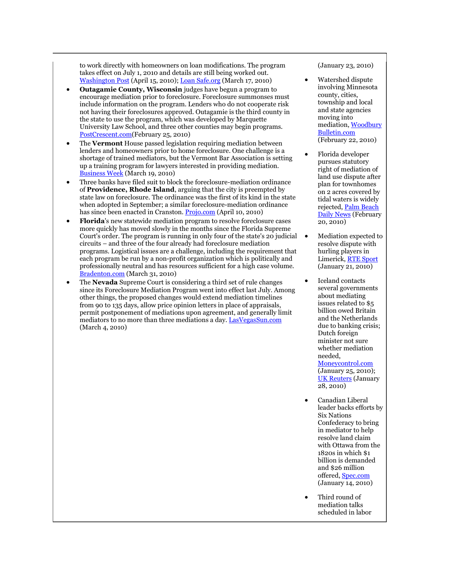to work directly with homeowners on loan modifications. The program takes effect on July 1, 2010 and details are still being worked out. [Washington Post](http://www.washingtonpost.com/wp-dyn/content/article/2010/04/14/AR2010041404602.html) (April 15, 2010)[; Loan Safe.org](http://tinyurl.com/yygu5su) (March 17, 2010)

- **Outagamie County, Wisconsin** judges have begun a program to encourage mediation prior to foreclosure. Foreclosure summonses must include information on the program. Lenders who do not cooperate risk not having their foreclosures approved. Outagamie is the third county in the state to use the program, which was developed by Marquette University Law School, and three other counties may begin programs. [PostCrescent.com\(](http://tinyurl.com/ycrn22o)February 25, 2010)
- The **Vermont** House passed legislation requiring mediation between lenders and homeowners prior to home foreclosure. One challenge is a shortage of trained mediators, but the Vermont Bar Association is setting up a training program for lawyers interested in providing mediation. [Business Week](http://www.businessweek.com/ap/financialnews/D9EHMV2G0.htm) (March 19, 2010)
- Three banks have filed suit to block the foreclosure-mediation ordinance of **Providence, Rhode Island**, arguing that the city is preempted by state law on foreclosure. The ordinance was the first of its kind in the state when adopted in September; a similar foreclosure-mediation ordinance has since been enacted in Cranston. [Projo.com](http://tinyurl.com/36dqk84) (April 10, 2010)
- **Florida**'s new statewide mediation program to resolve foreclosure cases more quickly has moved slowly in the months since the Florida Supreme Court's order. The program is running in only four of the state's 20 judicial circuits – and three of the four already had foreclosure mediation programs. Logistical issues are a challenge, including the requirement that each program be run by a non-profit organization which is politically and professionally neutral and has resources sufficient for a high case volume. [Bradenton.com](http://tinyurl.com/28x29n4) (March 31, 2010)
- The **Nevada** Supreme Court is considering a third set of rule changes since its Foreclosure Mediation Program went into effect last July. Among other things, the proposed changes would extend mediation timelines from 90 to 135 days, allow price opinion letters in place of appraisals, permit postponement of mediations upon agreement, and generally limit mediators to no more than three mediations a day[. LasVegasSun.com](http://tinyurl.com/y3rxlwr) (March 4, 2010)

(January 23, 2010)

- Watershed dispute involving Minnesota county, cities, township and local and state agencies moving into mediation[, Woodbury](http://www.woodburybulletin.com/event/article/id/34130/group/home/)  [Bulletin.com](http://www.woodburybulletin.com/event/article/id/34130/group/home/) (February 22, 2010)
- Florida developer pursues statutory right of mediation of land use dispute after plan for townhomes on 2 acres covered by tidal waters is widely rejected, [Palm Beach](http://tinyurl.com/ycu3se5)  [Daily News](http://tinyurl.com/ycu3se5) (February 20, 2010)
- Mediation expected to resolve dispute with hurling players in Limerick[, RTE Sport](http://www.rte.ie/sport/gaa/championship/2010/0121/limerick.html) (January 21, 2010)
- Iceland contacts several governments about mediating issues related to \$5 billion owed Britain and the Netherlands due to banking crisis; Dutch foreign minister not sure whether mediation needed, [Moneycontrol.com](http://tinyurl.com/ya6zlpc) (January 25, 2010); **[UK Reuters](http://uk.reuters.com/article/idUKLDE60R1X020100128)** (January

28, 2010) Canadian Liberal

- leader backs efforts by Six Nations Confederacy to bring in mediator to help resolve land claim with Ottawa from the 1820s in which \$1 billion is demanded and \$26 million offered[, Spec.com](http://www.thespec.com/News/Local/article/704771) (January 14, 2010)
- Third round of mediation talks scheduled in labor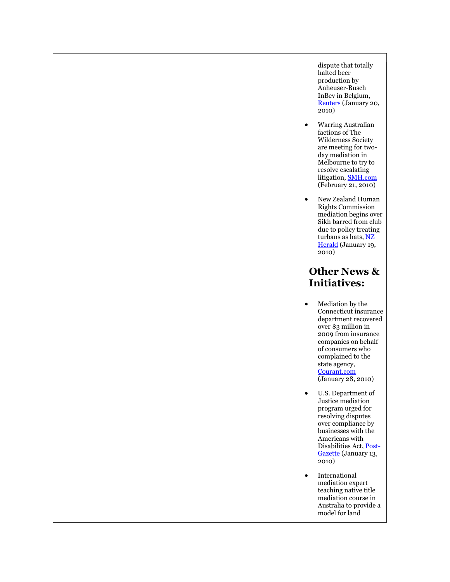dispute that totally halted beer production by Anheuser-Busch InBev in Belgium, [Reuters](http://www.reuters.com/article/idUSLDE60J04D20100120?type=marketsNews) (January 20, 2010)

- Warring Australian factions of The Wilderness Society are meeting for twoday mediation in Melbourne to try to resolve escalating litigation, [SMH.com](http://www.smh.com.au/environment/wilderness-factions-to-meet-20100220-oms0.html) (February 21, 2010)
- New Zealand Human Rights Commission mediation begins over Sikh barred from club due to policy treating turbans as hats, NZ [Herald](http://tinyurl.com/yc6bvtr) (January 19, 2010)

#### **Other News & Initiatives:**

- Mediation by the Connecticut insurance department recovered over \$3 million in 2009 from insurance companies on behalf of consumers who complained to the state agency, [Courant.com](http://tinyurl.com/yc9fo6q) (January 28, 2010)
- U.S. Department of Justice mediation program urged for resolving disputes over compliance by businesses with the Americans with Disabilities Act[, Post-](http://www.post-gazette.com/pg/10013/1027674-431.stm)[Gazette](http://www.post-gazette.com/pg/10013/1027674-431.stm) (January 13, 2010)
- International mediation expert teaching native title mediation course in Australia to provide a model for land